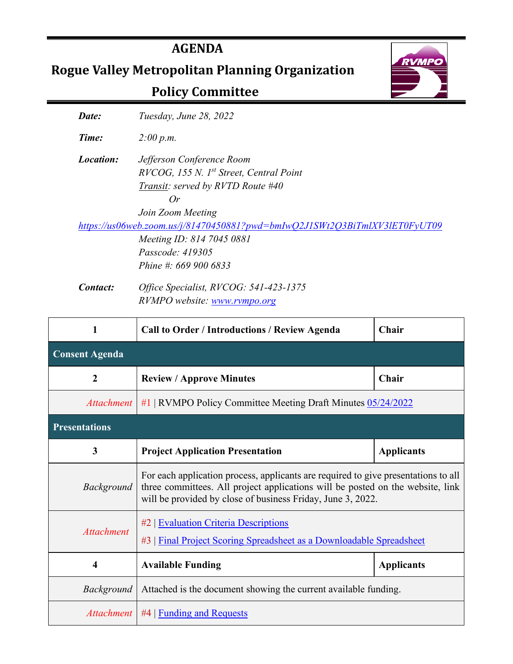# **AGENDA**

**Rogue Valley Metropolitan Planning Organization**

# **Policy Committee**



*Date: Tuesday, June 28, 2022*

*Time: 2:00 p.m.*

*Location: Jefferson Conference Room RVCOG, 155 N. 1st Street, Central Point Transit: served by RVTD Route #40 Or*

*Join Zoom Meeting*

*<https://us06web.zoom.us/j/81470450881?pwd=bmIwQ2J1SWt2Q3BiTmlXV3lET0FyUT09>*

*Meeting ID: 814 7045 0881 Passcode: 419305 Phine #: 669 900 6833*

*Contact: Office Specialist, RVCOG: 541-423-1375 RVMPO website: [www.rvmpo.org](http://www.rvmpo.org/)*

| 1                     | <b>Call to Order / Introductions / Review Agenda</b>                                                                                                                                                                                | Chair             |
|-----------------------|-------------------------------------------------------------------------------------------------------------------------------------------------------------------------------------------------------------------------------------|-------------------|
| <b>Consent Agenda</b> |                                                                                                                                                                                                                                     |                   |
| $\boldsymbol{2}$      | <b>Review / Approve Minutes</b>                                                                                                                                                                                                     | Chair             |
|                       | <i>Attachment</i>   #1   RVMPO Policy Committee Meeting Draft Minutes 05/24/2022                                                                                                                                                    |                   |
| <b>Presentations</b>  |                                                                                                                                                                                                                                     |                   |
| 3                     | <b>Project Application Presentation</b>                                                                                                                                                                                             | <b>Applicants</b> |
| Background            | For each application process, applicants are required to give presentations to all<br>three committees. All project applications will be posted on the website, link<br>will be provided by close of business Friday, June 3, 2022. |                   |
| <b>Attachment</b>     | #2   Evaluation Criteria Descriptions<br>#3   Final Project Scoring Spreadsheet as a Downloadable Spreadsheet                                                                                                                       |                   |
| 4                     | <b>Available Funding</b>                                                                                                                                                                                                            | <b>Applicants</b> |
| <b>Background</b>     | Attached is the document showing the current available funding.                                                                                                                                                                     |                   |
| Attachment            | $#4$   Funding and Requests                                                                                                                                                                                                         |                   |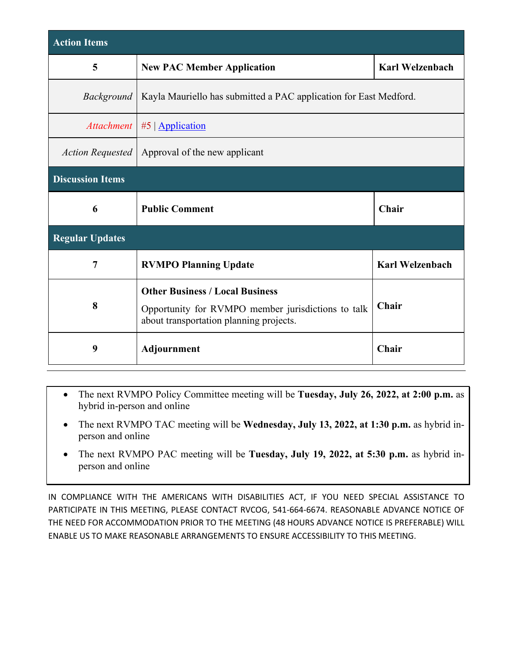| <b>Action Items</b>     |                                                                                                                                         |                        |  |  |  |  |  |
|-------------------------|-----------------------------------------------------------------------------------------------------------------------------------------|------------------------|--|--|--|--|--|
| 5                       | <b>Karl Welzenbach</b><br><b>New PAC Member Application</b>                                                                             |                        |  |  |  |  |  |
| <i>Background</i>       | Kayla Mauriello has submitted a PAC application for East Medford.                                                                       |                        |  |  |  |  |  |
|                         | Attachment   #5   Application                                                                                                           |                        |  |  |  |  |  |
| <b>Action Requested</b> | Approval of the new applicant                                                                                                           |                        |  |  |  |  |  |
| <b>Discussion Items</b> |                                                                                                                                         |                        |  |  |  |  |  |
| 6                       | <b>Public Comment</b>                                                                                                                   | Chair                  |  |  |  |  |  |
| <b>Regular Updates</b>  |                                                                                                                                         |                        |  |  |  |  |  |
| 7                       | <b>RVMPO Planning Update</b>                                                                                                            | <b>Karl Welzenbach</b> |  |  |  |  |  |
| 8                       | <b>Other Business / Local Business</b><br>Opportunity for RVMPO member jurisdictions to talk<br>about transportation planning projects. | Chair                  |  |  |  |  |  |
| 9                       | Chair<br>Adjournment                                                                                                                    |                        |  |  |  |  |  |

- The next RVMPO Policy Committee meeting will be **Tuesday, July 26, 2022, at 2:00 p.m.** as hybrid in-person and online
- The next RVMPO TAC meeting will be **Wednesday, July 13, 2022, at 1:30 p.m.** as hybrid inperson and online
- The next RVMPO PAC meeting will be **Tuesday, July 19, 2022, at 5:30 p.m.** as hybrid inperson and online

IN COMPLIANCE WITH THE AMERICANS WITH DISABILITIES ACT, IF YOU NEED SPECIAL ASSISTANCE TO PARTICIPATE IN THIS MEETING, PLEASE CONTACT RVCOG, 541-664-6674. REASONABLE ADVANCE NOTICE OF THE NEED FOR ACCOMMODATION PRIOR TO THE MEETING (48 HOURS ADVANCE NOTICE IS PREFERABLE) WILL ENABLE US TO MAKE REASONABLE ARRANGEMENTS TO ENSURE ACCESSIBILITY TO THIS MEETING.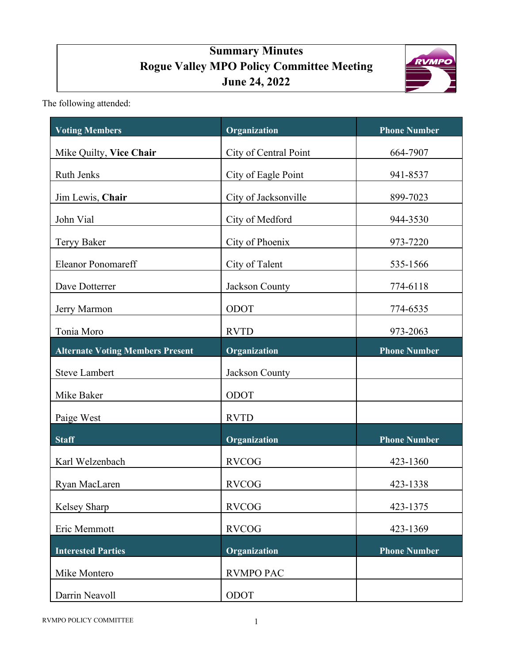# **Summary Minutes Rogue Valley MPO Policy Committee Meeting June 24, 2022**



<span id="page-2-0"></span>The following attended:

| <b>Voting Members</b>                   | Organization          | <b>Phone Number</b> |
|-----------------------------------------|-----------------------|---------------------|
| Mike Quilty, Vice Chair                 | City of Central Point | 664-7907            |
| Ruth Jenks                              | City of Eagle Point   | 941-8537            |
| Jim Lewis, Chair                        | City of Jacksonville  | 899-7023            |
| John Vial                               | City of Medford       | 944-3530            |
| <b>Teryy Baker</b>                      | City of Phoenix       | 973-7220            |
| <b>Eleanor Ponomareff</b>               | City of Talent        | 535-1566            |
| Dave Dotterrer                          | Jackson County        | 774-6118            |
| Jerry Marmon                            | ODOT                  | 774-6535            |
| Tonia Moro                              | <b>RVTD</b>           | 973-2063            |
| <b>Alternate Voting Members Present</b> | Organization          | <b>Phone Number</b> |
| <b>Steve Lambert</b>                    | Jackson County        |                     |
| Mike Baker                              | ODOT                  |                     |
| Paige West                              | <b>RVTD</b>           |                     |
| <b>Staff</b>                            | Organization          | <b>Phone Number</b> |
| Karl Welzenbach                         | <b>RVCOG</b>          | 423-1360            |
| Ryan MacLaren                           | <b>RVCOG</b>          | 423-1338            |
| Kelsey Sharp                            | <b>RVCOG</b>          | 423-1375            |
| Eric Memmott                            | <b>RVCOG</b>          | 423-1369            |
| <b>Interested Parties</b>               | Organization          | <b>Phone Number</b> |
| Mike Montero                            | <b>RVMPO PAC</b>      |                     |
| Darrin Neavoll                          | ODOT                  |                     |

RVMPO POLICY COMMITTEE 1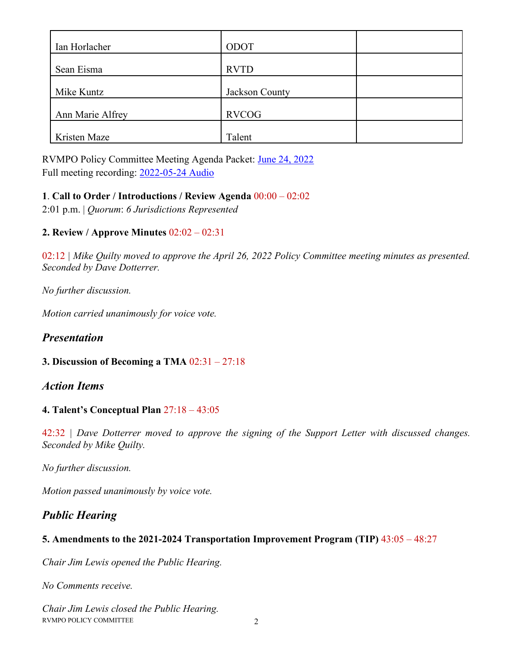| Ian Horlacher    | ODOT           |  |
|------------------|----------------|--|
| Sean Eisma       | <b>RVTD</b>    |  |
| Mike Kuntz       | Jackson County |  |
| Ann Marie Alfrey | <b>RVCOG</b>   |  |
| Kristen Maze     | Talent         |  |

RVMPO Policy Committee Meeting Agenda Packet: [June 24, 2022](https://rvmpo.org/wp-content/uploads/2019/09/RVMPO-PolComm-Agenda-Packet-04-26-2022.pdf) Full meeting recording: [2022-05-24 Audio](https://rvmpo.org/wp-content/uploads/2019/09/RVMPO-PolComm-Audio-04-26-2022.mp3)

#### **1**. **Call to Order / Introductions / Review Agenda** 00:00 – 02:02

2:01 p.m. | *Quorum*: *6 Jurisdictions Represented*

### **2. Review / Approve Minutes** 02:02 – 02:31

02:12 *| Mike Quilty moved to approve the April 26, 2022 Policy Committee meeting minutes as presented. Seconded by Dave Dotterrer.* 

*No further discussion.* 

*Motion carried unanimously for voice vote.* 

## *Presentation*

#### **3. Discussion of Becoming a TMA** 02:31 – 27:18

### *Action Items*

#### **4. Talent's Conceptual Plan** 27:18 – 43:05

42:32 *| Dave Dotterrer moved to approve the signing of the Support Letter with discussed changes. Seconded by Mike Quilty.* 

*No further discussion.* 

*Motion passed unanimously by voice vote.*

## *Public Hearing*

#### **5. Amendments to the 2021-2024 Transportation Improvement Program (TIP)** 43:05 – 48:27

*Chair Jim Lewis opened the Public Hearing.* 

*No Comments receive.* 

RVMPO POLICY COMMITTEE 2 *Chair Jim Lewis closed the Public Hearing.*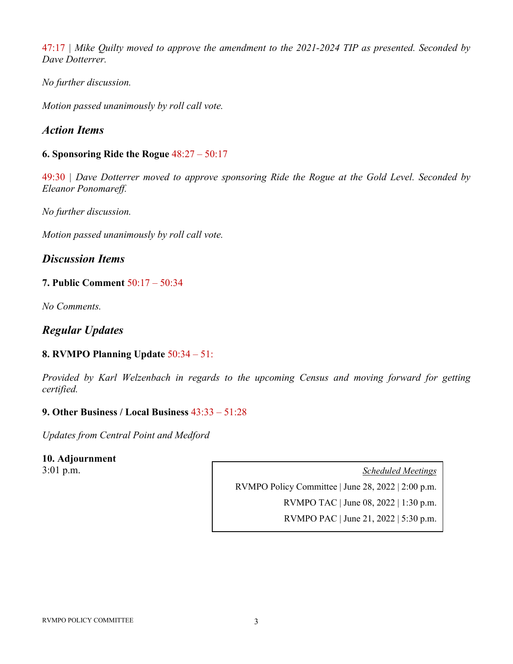47:17 *| Mike Quilty moved to approve the amendment to the 2021-2024 TIP as presented. Seconded by Dave Dotterrer.* 

*No further discussion.* 

*Motion passed unanimously by roll call vote.* 

## *Action Items*

#### **6. Sponsoring Ride the Rogue** 48:27 – 50:17

49:30 *| Dave Dotterrer moved to approve sponsoring Ride the Rogue at the Gold Level. Seconded by Eleanor Ponomareff.* 

*No further discussion.* 

*Motion passed unanimously by roll call vote.*

*Discussion Items*

#### **7. Public Comment** 50:17 – 50:34

*No Comments.* 

## *Regular Updates*

### **8. RVMPO Planning Update** 50:34 – 51:

*Provided by Karl Welzenbach in regards to the upcoming Census and moving forward for getting certified.* 

#### **9. Other Business / Local Business** 43:33 – 51:28

*Updates from Central Point and Medford*

#### **10. Adjournment**

3:01 p.m. *Scheduled Meetings*

RVMPO Policy Committee | June 28, 2022 | 2:00 p.m.

RVMPO TAC | June 08, 2022 | 1:30 p.m.

RVMPO PAC | June 21, 2022 | 5:30 p.m.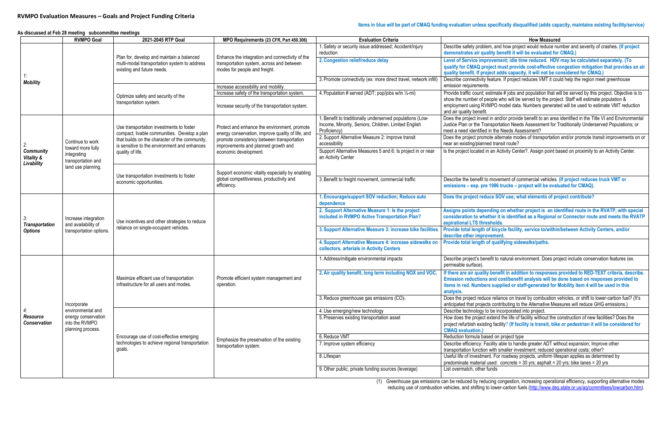(1) Greenhouse gas emissions can be reduced by reducing congestion, increasing operational efficiency, supporting alternative modes reducing use of combustion vehicles, and shifting to lower-carbon fuels [\(http://www.deq.state.or.us/aq/committees/lowcarbon.htm\)](http://www.deq.state.or.us/aq/committees/lowcarbon.htm)

**Items in blue will be part of CMAQ funding evaluation unless specifically disqualified (adds capacity, maintains existing facility/service)**

n, and how project would reduce number and severity of crashes. (If project **demonstrate it will be evaluated for CMAQ.)** 

**2. Conduct reduced of Service in Service in Service in Service in Service in Service in Service in Service in Service III** ject must provide cost-effective congestion mitigation that provides an air **ject adds capacity, it will not be considered for CMAQ.)** 

eature. If project reduces VMT it could help the region meet greenhouse

stimate # jobs and population that will be served by this project. Objective is to cople who will be served by the project. Staff will estimate population & MPO model data. Numbers generated will be used to estimate VMT reduction

in and/or provide benefit to an area identified in the Title VI and Environmental nsportation Needs Assessment for Traditionally Underserved Populations; or in the Needs Assessment?

bte alternate modes of transportation and/or promote transit improvements on or ed transit route?

I an Activity Center?. Assign point based on proximity to an Activity Center.

movement of commercial vehicles. (If project reduces truck VMT or **1986 trucks – project will be evaluated for CMAQ).** 

**Dreef SOV use; what elements of project contribute?** 

#### <span id="page-5-0"></span> **As discussed at Feb 28 meeting subcommittee meetings**

**Assigns points depending on whether project is an identified route in the RVATP, with special consideration to whether it is identified as a Regional or Connector route and meets the RVATP**   $sholds.$ 

**i** bicycle facility, service to/within/between Activity Centers, and/or *r*ement.

efit to natural environment. Does project include conservation features (ex.

**benefit in addition to responses provided to RED-TEXT criteria, describe.** and cost/benefit analysis will be done based on responses provided to **is upplied or staff-generated for Mobility item 4 will be used in this** 

e reliance on travel by combustion vehicles, or shift to lower-carbon fuel? (It's s contributing to the Alternative Measures will reduce GHG emissions.) be incorporated into project.

extend the life of facility without the construction of new facilities? Does the ng facility? (If facility is transit, bike or pedestrian it will be considered for

rility able to handle greater ADT without expansion; Improve other with smaller investment; reduced operational costs; other? 1. For roadway projects, uniform lifespan applies as determined by sed: concrete = 30 yrs; asphalt = 20 yrs; bike lanes = 20 yrs

|                                                         | <b>RVMPO Goal</b>                                          | 2021-2045 RTP Goal                                                                                                      | MPO Requirements (23 CFR, Part 450.306)                                                                                       | <b>Evaluation Criteria</b>                                                                                                        | <b>How Measured</b>                                                                                                                                                                            |
|---------------------------------------------------------|------------------------------------------------------------|-------------------------------------------------------------------------------------------------------------------------|-------------------------------------------------------------------------------------------------------------------------------|-----------------------------------------------------------------------------------------------------------------------------------|------------------------------------------------------------------------------------------------------------------------------------------------------------------------------------------------|
|                                                         |                                                            |                                                                                                                         |                                                                                                                               | 1. Safety or security issue addressed; Accident/injury<br>reduction                                                               | Describe safety problem, and how project would reduce nu<br>demonstrates air quality benefit it will be evaluated for                                                                          |
|                                                         |                                                            | Plan for, develop and maintain a balanced<br>multi-modal transportation system to address<br>existing and future needs. | Enhance the integration and connectivity of the<br>transportation system, across and between<br>modes for people and freight. | 2. Congestion relief/reduce delay                                                                                                 | Level of Service improvement; idle time reduced. HDV<br>qualify for CMAQ project must provide cost-effective co<br>quality benefit. If project adds capacity, it will not be co                |
| <b>Mobility</b>                                         |                                                            |                                                                                                                         | Increase accessibility and mobility.                                                                                          | 3. Promote connectivity (ex: more direct travel, network infill)                                                                  | Describe connectivity feature. If project reduces VMT it cou<br>emission requirements.                                                                                                         |
|                                                         |                                                            |                                                                                                                         | Increase safety of the transportation system.                                                                                 | 4. Population # served (ADT; pop/jobs w/in 1/2-mi)                                                                                | Provide traffic count; estimate # jobs and population that wi                                                                                                                                  |
|                                                         |                                                            | Optimize safety and security of the<br>transportation system.                                                           | Increase security of the transportation system.                                                                               |                                                                                                                                   | show the number of people who will be served by the proje<br>employment using RVMPO model data. Numbers generate<br>and air quality benefit.                                                   |
|                                                         |                                                            | Use transportation investments to foster<br>compact, livable communities. Develop a plan                                | Protect and enhance the environment, promote<br>energy conservation, improve quality of life, and                             | I. Benefit to traditionally underserved populations (Low-<br>Income, Minority, Seniors, Children, Limited English<br>Proficiency) | Does the project invest in and/or provide benefit to an area<br>Justice Plan or the Transportation Needs Assessment for T<br>meet a need identified in the Needs Assessment?                   |
|                                                         | Continue to work                                           | that builds on the character of the community,<br>is sensitive to the environment and enhances                          | promote consistency between transportation<br>improvements and planned growth and                                             | 2. Support Alternative Measure 2: improve transit<br>accessibility                                                                | Does the project promote alternate modes of transportation<br>near an existing/planned transit route?                                                                                          |
| <b>Community</b><br><b>Vitality &amp;</b><br>Livability | toward more fully<br>integrating<br>transportation and     | quality of life.                                                                                                        | economic development.                                                                                                         | Support Alternative Measures 5 and 6: Is project in or near<br>an Activity Center                                                 | Is the project located in an Activity Center?. Assign point ba                                                                                                                                 |
|                                                         | land use planning.                                         | Use transportation investments to foster<br>economic opportunities.                                                     | Support economic vitality especially by enabling<br>global competitiveness, productivity and<br>efficiency.                   | 3. Benefit to freight movement, commercial traffic                                                                                | Describe the benefit to movement of commercial vehicles.<br>emissions - esp. pre 1986 trucks - project will be evalu                                                                           |
| <b>Transportation</b>                                   |                                                            |                                                                                                                         |                                                                                                                               | 1. Encourage/support SOV reduction; Reduce auto<br>dependence                                                                     | Does the project reduce SOV use; what elements of pro                                                                                                                                          |
|                                                         | Increase integration<br>and availability of                | Use incentives and other strategies to reduce<br>reliance on single-occupant vehicles.                                  |                                                                                                                               | 2. Support Alternative Measure 1: Is the project<br>included in RVMPO Active Transportation Plan?                                 | Assigns points depending on whether project is an ide<br>consideration to whether it is identified as a Regional of<br>aspirational LTS thresholds.                                            |
| <b>Options</b>                                          | transportation options.                                    |                                                                                                                         |                                                                                                                               | 3. Support Alternative Measure 3: increase bike facilities                                                                        | Provide total length of bicycle facility, service to/within/<br>describe other improvement.                                                                                                    |
|                                                         |                                                            |                                                                                                                         |                                                                                                                               | 4. Support Alternative Measure 4: increase sidewalks on<br>collectors, arterials in Activity Centers                              | Provide total length of qualifying sidewalks/paths.                                                                                                                                            |
|                                                         |                                                            |                                                                                                                         |                                                                                                                               | 1. Address/mitigate environmental impacts                                                                                         | Describe project's benefit to natural environment. Does pro<br>permeable surface).                                                                                                             |
|                                                         |                                                            | Maximize efficient use of transportation<br>infrastructure for all users and modes.                                     | Promote efficient system management and<br>operation.                                                                         | 2. Air quality benefit, long term including NOX and VOC.                                                                          | If there are air quality benefit in addition to responses p<br>Emission reductions and cost/benefit analysis will be d<br>items in red. Numbers supplied or staff-generated for M<br>analysis. |
|                                                         | Incorporate                                                |                                                                                                                         |                                                                                                                               | 3. Reduce greenhouse gas emissions (CO)1                                                                                          | Does the project reduce reliance on travel by combustion ve<br>anticipated that projects contributing to the Alternative Mea                                                                   |
| 4:                                                      | environmental and                                          |                                                                                                                         |                                                                                                                               | 4. Use emerging/new technology                                                                                                    | Describe technology to be incorporated into project.                                                                                                                                           |
| Resource<br><b>Conservation</b>                         | energy conservation<br>into the RVMPO<br>planning process. |                                                                                                                         |                                                                                                                               | 5. Preserves existing transportation asset                                                                                        | How does the project extend the life of facility without the co<br>project refurbish existing facility? (If facility is transit, bike<br><b>CMAQ</b> evaluation.)                              |
|                                                         |                                                            | Encourage use of cost-effective emerging                                                                                | Emphasize the preservation of the existing                                                                                    | 6. Reduce VMT                                                                                                                     | Reduction formula based on project type                                                                                                                                                        |
|                                                         |                                                            | technologies to achieve regional transportation<br>goals.                                                               | transportation system.                                                                                                        | 7. Improve system efficiency                                                                                                      | Describe efficiency: Facility able to handle greater ADT with<br>transportation function with smaller investment; reduced op                                                                   |
|                                                         |                                                            |                                                                                                                         |                                                                                                                               | 8. Lifespan                                                                                                                       | Useful life of investment. For roadway projects, uniform lifes<br>predominate material used: concrete = 30 yrs; asphalt = 20                                                                   |
|                                                         |                                                            |                                                                                                                         |                                                                                                                               | 9. Other public, private funding sources (leverage)                                                                               | List overmatch, other funds                                                                                                                                                                    |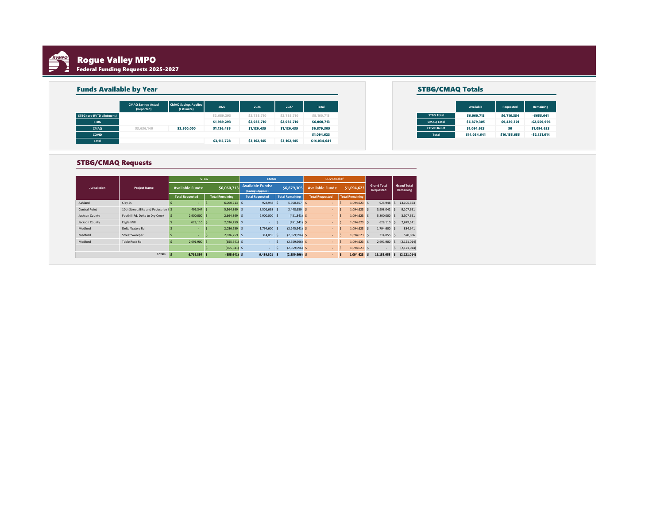<span id="page-6-0"></span>

# Rogue Valley MPO Federal Funding Requests 2025-2027

| <b>Funds Available by Year</b> |                            |                             |             |             |             |              |
|--------------------------------|----------------------------|-----------------------------|-------------|-------------|-------------|--------------|
|                                | <b>CMAQ Savings Actual</b> | <b>CMAQ Savings Applied</b> | 2025        | 2026        | 2027        | Total        |
| STBG (pre-RVTD allotment)      | (Reported)                 | (Estimate)                  | \$2,689,293 | \$2,735,710 | \$2,735,710 | \$8,160,713  |
| <b>STBG</b>                    |                            |                             | \$1,989,293 | \$2,035,710 | \$2,035,710 | \$6,060,713  |
| CMAQ                           | \$3,636,140                | \$3,500,000                 | \$1,126,435 | \$1,126,435 | \$1,126,435 | \$6,879,305  |
| COVID                          |                            |                             |             |             |             | \$1,094,623  |
| <b>Total</b>                   |                            |                             | \$3,115,728 | \$3,162,145 | \$3,162,145 | \$14,034,641 |

|  |                     | Available    | Requested    |
|--|---------------------|--------------|--------------|
|  | <b>STBG Total</b>   | \$6,060,713  | \$6,716,354  |
|  | <b>CMAO Total</b>   | \$6,879,305  | \$9,439,301  |
|  | <b>COVID Relief</b> | \$1,094,623  | \$0          |
|  | <b>Total</b>        | \$14,034,641 | \$16,155,655 |
|  |                     |              |              |

#### STBG/CMAQ Requests

|                      |                                      | <b>STBG</b>             |    |                        | CMAO |                                              |    | <b>COVID Relief</b>    |                         |   |                        |                                 |    |                                 |
|----------------------|--------------------------------------|-------------------------|----|------------------------|------|----------------------------------------------|----|------------------------|-------------------------|---|------------------------|---------------------------------|----|---------------------------------|
| <b>Jurisdiction</b>  | <b>Project Name</b>                  | <b>Available Funds:</b> |    | \$6,060,713            |      | <b>Available Funds:</b><br>(Savings Applied) |    | \$6,879,305            | <b>Available Funds:</b> |   | \$1,094,623            | <b>Grand Total</b><br>Requested |    | <b>Grand Total</b><br>Remaining |
|                      |                                      | <b>Total Requested</b>  |    | <b>Total Remaining</b> |      | <b>Total Requested</b>                       |    | <b>Total Remaining</b> | <b>Total Requested</b>  |   | <b>Total Remaining</b> |                                 |    |                                 |
| Ashland              | Clay St.                             | s                       | -S | $6.060.713$ S          |      | 928,948                                      | -S | 5,950,357 \$           | $\overline{a}$          |   | $1.094.623$ \$         | 928,948                         | .s | 13.105.693                      |
| <b>Central Point</b> | 10th Street: Bike and Pedestrian i S | 496,344 S               |    | 5.564.369 S            |      | 3,501,698                                    | -S | 2,448,659 \$           | <b>A</b>                | s | 1.094.623 S            | 3.998.042 S                     |    | 9,107,651                       |
| Jackson County       | Foothill Rd. Delta to Dry Creek      | 2,900,000<br>-S         | ۱Ś | 2,664,369 \$           |      | 2,900,000                                    | -S | $(451, 341)$ \$        | <b>A</b>                |   | 1,094,623 \$           | 5,800,000                       |    | 3,307,651                       |
| Jackson County       | Eagle Mill                           | 628,110<br>s            | ۱s | 2,036,259 \$           |      | $\overline{\phantom{a}}$                     |    | $(451, 341)$ \$        | <b>A</b>                | s | $1.094.623$ \$         | 628,110                         |    | 2,679,541                       |
| Medford              | Delta Waters Rd                      | s.                      | -S | 2,036,259 \$           |      | 1,794,600                                    | S. | $(2,245,941)$ \$       | <b>A</b>                |   | 1.094.623 S            | 1,794,600 \$                    |    | 884,941                         |
| Medford              | <b>Street Sweeper</b>                | s.                      | -S | 2.036.259 S            |      | 314.055                                      | -S | $(2,559,996)$ \$       | <b>A</b>                |   | $1.094.623$ \$         | 314.055 S                       |    | 570.886                         |
| Medford              | Table Rock Rd                        | 2.691.900<br>Ŝ          | ۱s | $(655, 641)$ \$        |      | $\overline{\phantom{a}}$                     |    | $(2,559,996)$ \$       | <b>A</b>                |   | 1.094.623 S            | 2.691.900                       | -S | (2, 121, 014)                   |
|                      |                                      |                         |    | $(655, 641)$ \$        |      | $\overline{\phantom{a}}$                     |    | $(2,559,996)$ \$       | $\sim$                  | s | $1.094.623$ \$         | $\overline{\phantom{a}}$        | -S | (2, 121, 014)                   |
|                      | <b>Totals</b>                        | $6,716,354$ \$<br>۱s    |    | $(655, 641)$ \$        |      | 9,439,301 \$                                 |    | $(2,559,996)$ \$       | $\sim$                  |   | 1.094.623 \$           | 16,155,655                      | -S | (2, 121, 014)                   |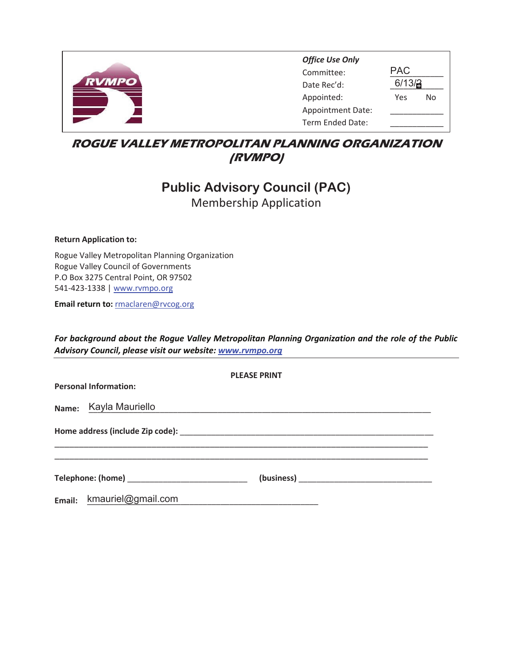<span id="page-7-0"></span>

| <b>Office Use Only</b>   |        |    |
|--------------------------|--------|----|
| Committee:               | PAC    |    |
| Date Rec'd:              | 6/13/3 |    |
| Appointed:               | Yes    | N٥ |
| <b>Appointment Date:</b> |        |    |
| Term Ended Date:         |        |    |

## **ROGUE VALLEY METROPOLITAN PLANNING ORGANIZATION** *(RVMPO)*

# **Public Advisory Council (PAC) Membership Application**

**Return Application to:** 

Rogue Valley Metropolitan Planning Organization Rogue Valley Council of Governments P.O Box 3275 Central Point, OR 97502 541-423-1338 | www.rvmpo.org

Email return to: rmaclaren@rvcog.org

For background about the Rogue Valley Metropolitan Planning Organization and the role of the Public Advisory Council, please visit our website: www.rvmpo.org

|                              | <b>PLEASE PRINT</b>                                                                                                   |  |
|------------------------------|-----------------------------------------------------------------------------------------------------------------------|--|
| <b>Personal Information:</b> |                                                                                                                       |  |
| Name: Kayla Mauriello        | <u> 1989 - Johann Stoff, deutscher Stoff, der Stoff, der Stoff, der Stoff, der Stoff, der Stoff, der Stoff, der S</u> |  |
|                              |                                                                                                                       |  |
|                              |                                                                                                                       |  |
| Email: kmauriel@gmail.com    |                                                                                                                       |  |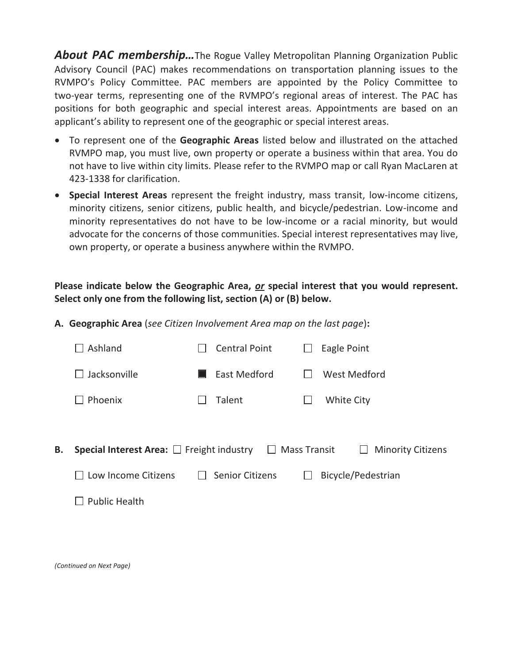**About PAC membership...**The Rogue Valley Metropolitan Planning Organization Public Advisory Council (PAC) makes recommendations on transportation planning issues to the RVMPO's Policy Committee. PAC members are appointed by the Policy Committee to two-year terms, representing one of the RVMPO's regional areas of interest. The PAC has positions for both geographic and special interest areas. Appointments are based on an applicant's ability to represent one of the geographic or special interest areas.

- To represent one of the Geographic Areas listed below and illustrated on the attached RVMPO map, you must live, own property or operate a business within that area. You do not have to live within city limits. Please refer to the RVMPO map or call Ryan MacLaren at 423-1338 for clarification.
- Special Interest Areas represent the freight industry, mass transit, low-income citizens, minority citizens, senior citizens, public health, and bicycle/pedestrian. Low-income and minority representatives do not have to be low-income or a racial minority, but would advocate for the concerns of those communities. Special interest representatives may live, own property, or operate a business anywhere within the RVMPO.

### Please indicate below the Geographic Area, or special interest that you would represent. Select only one from the following list, section (A) or (B) below.

A. Geographic Area (see Citizen Involvement Area map on the last page):

| Ashland                                               | <b>Central Point</b>   | Eagle Point                                     |
|-------------------------------------------------------|------------------------|-------------------------------------------------|
| Jacksonville                                          | East Medford           | West Medford                                    |
| Phoenix                                               | Talent                 | <b>White City</b>                               |
|                                                       |                        |                                                 |
| <b>Special Interest Area:</b> $\Box$ Freight industry | $\perp$                | <b>Mass Transit</b><br><b>Minority Citizens</b> |
| Low Income Citizens                                   | <b>Senior Citizens</b> | Bicycle/Pedestrian                              |
| <b>Public Health</b>                                  |                        |                                                 |

**B.**